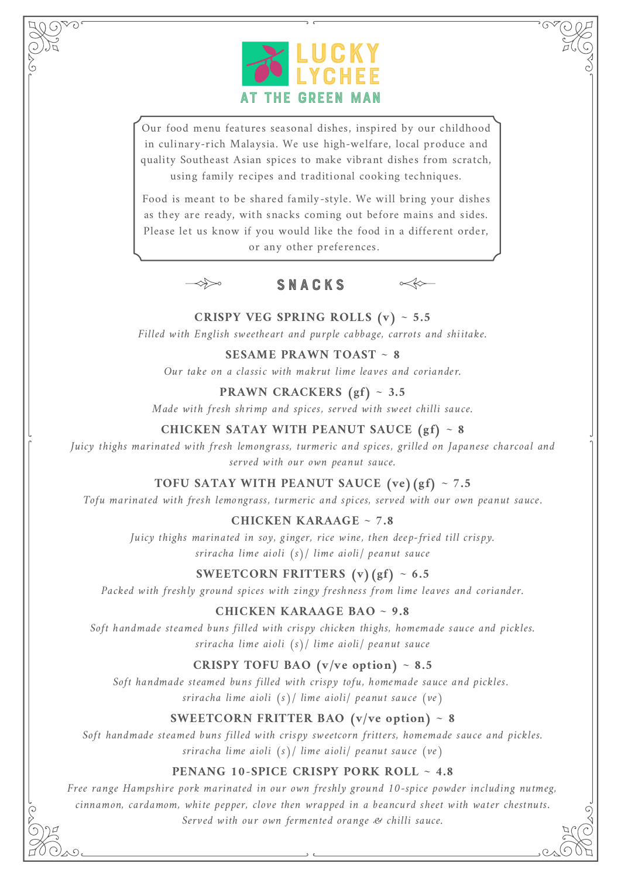

Our food menu features seasonal dishes, inspired by our childhood in culinary-rich Malaysia. We use high-welfare, local produce and quality Southeast Asian spices to make vibrant dishes from scratch, using family recipes and traditional cooking techniques.

Food is meant to be shared family-style. We will bring your dishes as they are ready, with snacks coming out before mains and sides. Please let us know if you would like the food in a different order, or any other preferences.







**CRISPY VEG SPRING ROLLS (v) ~ 5.5** Filled with English sweetheart and purple cabbage, carrots and shiitake.

**SESAME PRAWN TOAST ~ 8**

Our take on a classic with makrut lime leaves and coriander.

**PRAWN CRACKERS (gf) ~ 3.5**

Made with fresh shrimp and spices, served with sweet chilli sauce.

#### **CHICKEN SATAY WITH PEANUT SAUCE (gf) ~ 8**

Juicy thighs marinated with fresh lemongrass, turmeric and spices, grilled on Japanese charcoal and served with our own peanut sauce.

#### **TOFU SATAY WITH PEANUT SAUCE (ve)(gf) ~ 7.5**

Tofu marinated with fresh lemongrass, turmeric and spices, served with our own peanut sauce.

#### **CHICKEN KARAAGE ~ 7.8**

Juicy thighs marinated in soy, ginger, rice wine, then deep-fried till crispy. sriracha lime aioli (s)/ lime aioli/ peanut sauce

#### **SWEETCORN FRITTERS**  $(v)(gf) \sim 6.5$

Packed with freshly ground spices with zingy freshness from lime leaves and coriander.

#### **CHICKEN KARAAGE BAO ~ 9.8**

Soft handmade steamed buns filled with crispy chicken thighs, homemade sauce and pickles. sriracha lime aioli (s)/ lime aioli/ peanut sauce

#### **CRISPY TOFU** BAO  $(v/ve$  *option* $) \sim 8.5$

Soft handmade steamed buns filled with crispy tofu, homemade sauce and pickles. sriracha lime aioli (s)/ lime aioli/ peanut sauce (ve)

#### **SWEETCORN FRITTER BAO**  $(v/ve$  option) ~ 8

Soft handmade steamed buns filled with crispy sweetcorn fritters, homemade sauce and pickles. sriracha lime aioli (s)/ lime aioli/ peanut sauce (ve)

#### **PENANG 10-SPICE CRISPY PORK ROLL ~ 4.8**

Free range Hampshire pork marinated in our own freshly ground 10-spice powder including nutmeg, cinnamon, cardamom, white pepper, clove then wrapped in a beancurd sheet with water chestnuts. Served with our own fermented orange & chilli sauce.